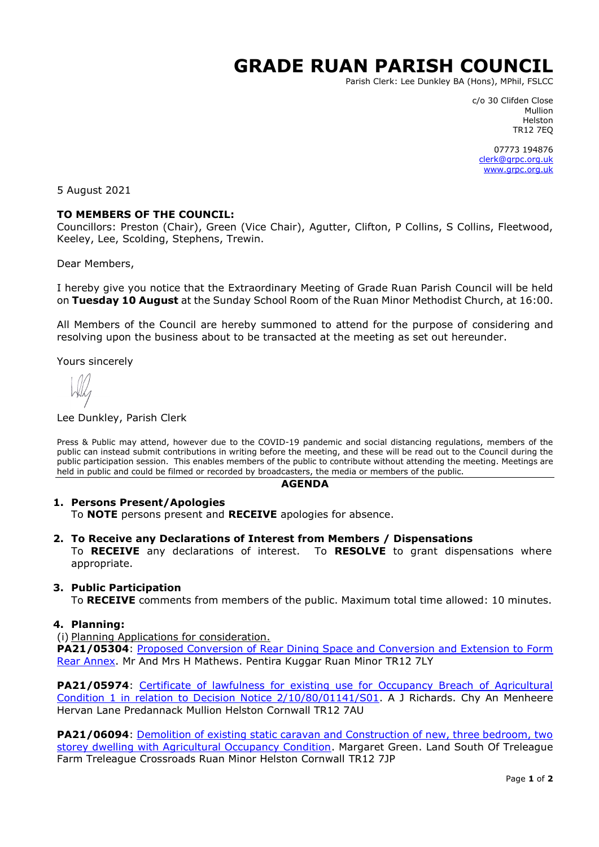# **GRADE RUAN PARISH COUNCIL**

Parish Clerk: Lee Dunkley BA (Hons), MPhil, FSLCC

c/o 30 Clifden Close Mullion Helston TR12 7EQ

07773 194876 [clerk@grpc.org.uk](mailto:clerk@grpc.org.uk) [www.grpc.org.uk](http://www.grpc.org.uk/)

5 August 2021

#### **TO MEMBERS OF THE COUNCIL:**

Councillors: Preston (Chair), Green (Vice Chair), Agutter, Clifton, P Collins, S Collins, Fleetwood, Keeley, Lee, Scolding, Stephens, Trewin.

Dear Members,

I hereby give you notice that the Extraordinary Meeting of Grade Ruan Parish Council will be held on **Tuesday 10 August** at the Sunday School Room of the Ruan Minor Methodist Church, at 16:00.

All Members of the Council are hereby summoned to attend for the purpose of considering and resolving upon the business about to be transacted at the meeting as set out hereunder.

Yours sincerely

#### Lee Dunkley, Parish Clerk

Press & Public may attend, however due to the COVID-19 pandemic and social distancing regulations, members of the public can instead submit contributions in writing before the meeting, and these will be read out to the Council during the public participation session. This enables members of the public to contribute without attending the meeting. Meetings are held in public and could be filmed or recorded by broadcasters, the media or members of the public.

#### **AGENDA**

# **1. Persons Present/Apologies**

To **NOTE** persons present and **RECEIVE** apologies for absence.

#### **2. To Receive any Declarations of Interest from Members / Dispensations**

To **RECEIVE** any declarations of interest. To **RESOLVE** to grant dispensations where appropriate.

#### **3. Public Participation**

To **RECEIVE** comments from members of the public. Maximum total time allowed: 10 minutes.

#### **4. Planning:**

(i) Planning Applications for consideration.

**PA21/05304**: [Proposed Conversion of Rear Dining Space and Conversion and Extension to Form](https://planning.cornwall.gov.uk/online-applications/applicationDetails.do?activeTab=documents&keyVal=QTCID9FGN3900&prevPage=inTray) [Rear Annex.](https://planning.cornwall.gov.uk/online-applications/applicationDetails.do?activeTab=documents&keyVal=QTCID9FGN3900&prevPage=inTray) Mr And Mrs H Mathews. Pentira Kuggar Ruan Minor TR12 7LY

**PA21/05974:** Certificate of lawfulness for existing use for Occupancy Breach of Agricultural [Condition 1 in relation to Decision Notice 2/10/80/01141/S01.](https://planning.cornwall.gov.uk/online-applications/applicationDetails.do?activeTab=documents&keyVal=QUDX9XFG1W400&prevPage=inTray) A J Richards. Chy An Menheere Hervan Lane Predannack Mullion Helston Cornwall TR12 7AU

PA21/06094: Demolition of existing static caravan and Construction of new, three bedroom, two [storey dwelling with Agricultural Occupancy Condition.](https://planning.cornwall.gov.uk/online-applications/applicationDetails.do?activeTab=documents&keyVal=QUJ98SFGI3U00&prevPage=inTray) Margaret Green. Land South Of Treleague Farm Treleague Crossroads Ruan Minor Helston Cornwall TR12 7JP